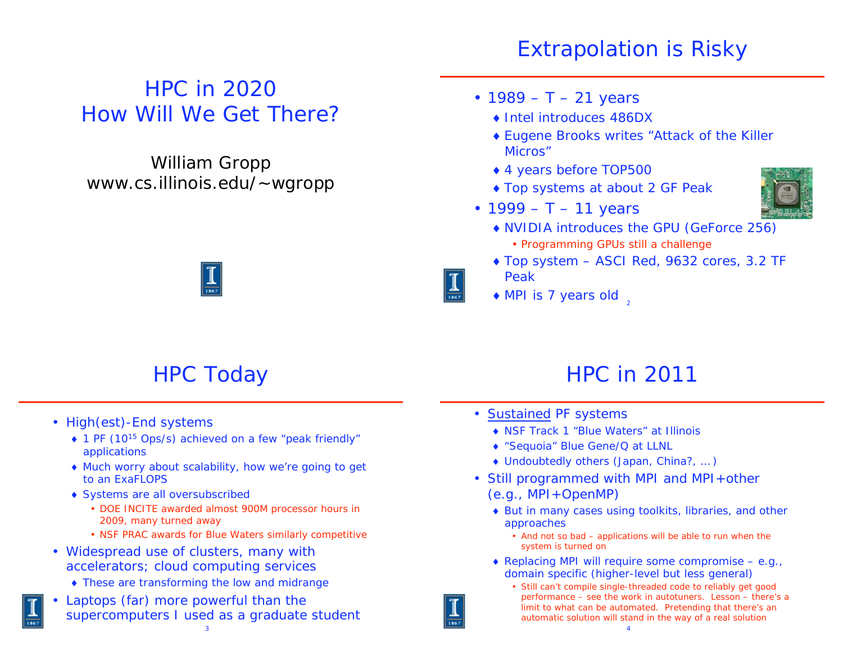# Extrapolation is Risky

#### HPC in 2020 How Will We Get There?

#### William Gropp www.cs.illinois.edu/~wgropp

#### • 1989 – T – 21 years

- ◆ Intel introduces 486DX
- Eugene Brooks writes "Attack of the Killer Micros"
- 4 years *before* TOP500
- ◆ Top systems at about 2 GF Peak
- 1999 T 11 years
- 
- NVIDIA introduces the GPU (GeForce 256) • Programming GPUs still a challenge
- ◆ Top system ASCI Red, 9632 cores, 3.2 TF Peak
- $\bullet$  MPI is 7 years old  $\frac{1}{2}$



# HPC Today

- High(est)-End systems
	- ◆ 1 PF (10<sup>15</sup> Ops/s) achieved on a few "peak friendly" applications
	- Much worry about scalability, how we're going to get to an ExaFLOPS
	- Systems are all oversubscribed
		- DOE INCITE awarded almost 900M processor hours in 2009, many turned away
		- NSF PRAC awards for Blue Waters similarly competitive
- Widespread use of clusters, many with accelerators; cloud computing services
	- These are transforming the low and midrange
- • Laptops (far) more powerful than the supercomputers I used as a graduate student

## HPC in 2011

- Sustained PF systems
	- ◆ NSF Track 1 "Blue Waters" at Illinois
	- "Sequoia" Blue Gene/Q at LLNL
	- Undoubtedly others (Japan, China?, … )
- Still programmed with MPI and MPI+other (e.g., MPI+OpenMP)
	- But in many cases using toolkits, libraries, and other approaches
		- And not so bad applications will be able to run when the system is turned on
	- $\bullet$  Replacing MPI will require some compromise e.g., domain specific (higher-level but less general)
		- Still can't compile single-threaded code to reliably get good performance – see the work in autotuners. Lesson – there's a limit to what can be automated. Pretending that there's an automatic solution will stand in the way of a real solution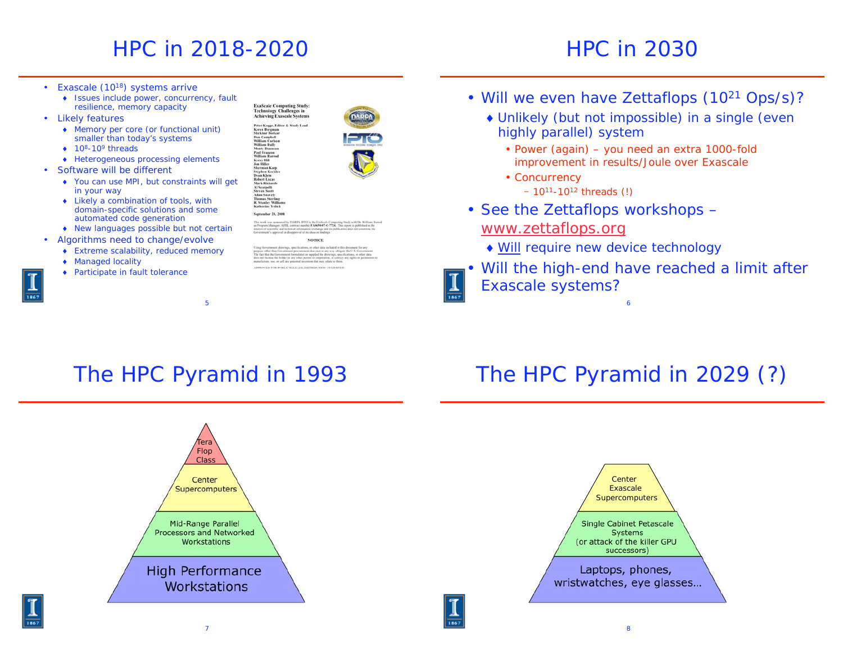# HPC in 2018-2020

#### HPC in 2030

- Exascale (10<sup>18</sup>) systems arrive
	- Issues include power, concurrency, fault resilience, memory capacity
- Likely features
	- Memory per core (or functional unit) smaller than today's systems
	- $\bullet$  10<sup>8</sup>-10<sup>9</sup> threads
	- ◆ Heterogeneous processing elements
- Software *will* be different
	- ◆ You *can* use MPI, but constraints will get in your way
	- Likely a combination of tools, with domain-specific solutions and some automated code generation
	- New languages possible but not certain
- Algorithms need to change/evolve
	- Extreme scalability, reduced memory
	- ◆ Managed locality
	- ◆ Participate in fault tolerance



Peter Kogge, Edu<br>Keren Bergman<br>Shekhar Borkar<br>Dan Campbell<br>William Carlson

herman Karp<br>tephen Keckle<br>tean Klein **Robert Lucas**<br>Mark Richard

**NOTICE** 

• Will we even have Zettaflops (10<sup>21</sup> Ops/s)?

- Unlikely (but not impossible) in a single (even highly parallel) system
	- Power (again) you need an extra 1000-fold improvement in results/Joule over Exascale
	- Concurrency - 10<sup>11</sup>-10<sup>12</sup> threads (!)
- See the Zettaflops workshops –

#### www.zettaflops.org

Will require new device technology

• Will the high-end have reached a limit after Exascale systems?

## The HPC Pyramid in 1993

5

# The HPC Pyramid in 2029 (?)

6





7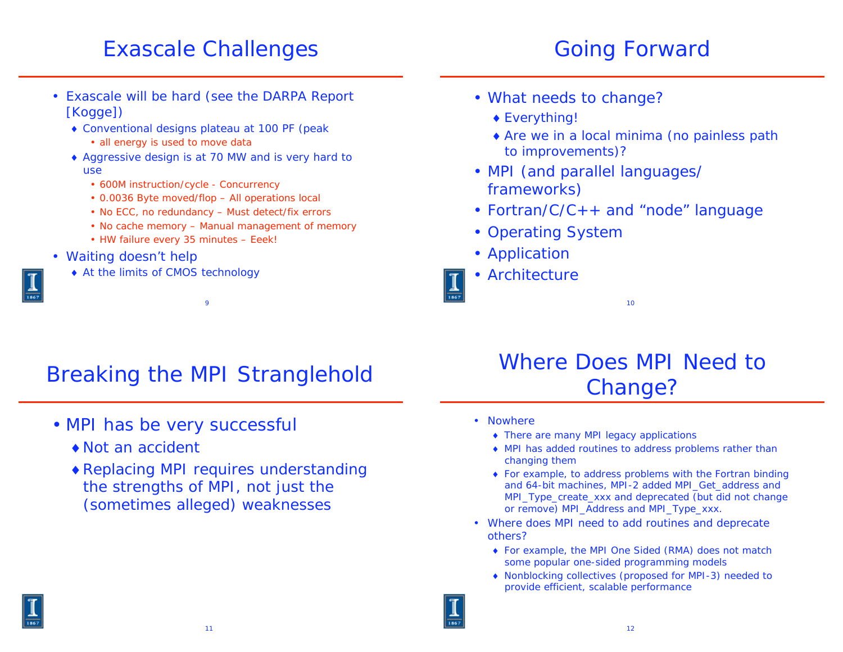## Exascale Challenges

## Going Forward

- Exascale will be hard (see the DARPA Report [Kogge])
	- Conventional designs plateau at 100 PF (peak
		- all energy is used to move data
	- Aggressive design is at 70 MW and is very hard to use
		- 600M instruction/cycle Concurrency
		- 0.0036 Byte moved/flop All operations local
		- No ECC, no redundancy Must detect/fix errors
		- No cache memory Manual management of memory
		- HW failure every 35 minutes Eeek!
- Waiting doesn't help
	- At the limits of CMOS technology
- What needs to change?
	- Everything!
	- Are we in a local minima (no painless path to improvements)?
- MPI (and parallel languages/ frameworks)
- Fortran/C/C++ and "node" language
- Operating System
- Application
- Architecture

# Breaking the MPI Stranglehold

 $\overline{Q}$ 

- MPI has be very successful
	- Not an accident
	- Replacing MPI requires understanding the strengths of MPI, not just the (sometimes alleged) weaknesses

# Where Does MPI Need to Change?

10

- Nowhere
	- There are many MPI legacy applications
	- MPI has added routines to address problems rather than changing them
	- For example, to address problems with the Fortran binding and 64-bit machines, MPI-2 added MPI\_Get\_address and MPI\_Type\_create\_xxx and deprecated (but did not change or remove) MPI\_Address and MPI\_Type\_xxx.
- Where does MPI need to add routines and deprecate others?
	- For example, the MPI One Sided (RMA) does not match some popular one-sided programming models
	- Nonblocking collectives (proposed for MPI-3) needed to provide efficient, scalable performance

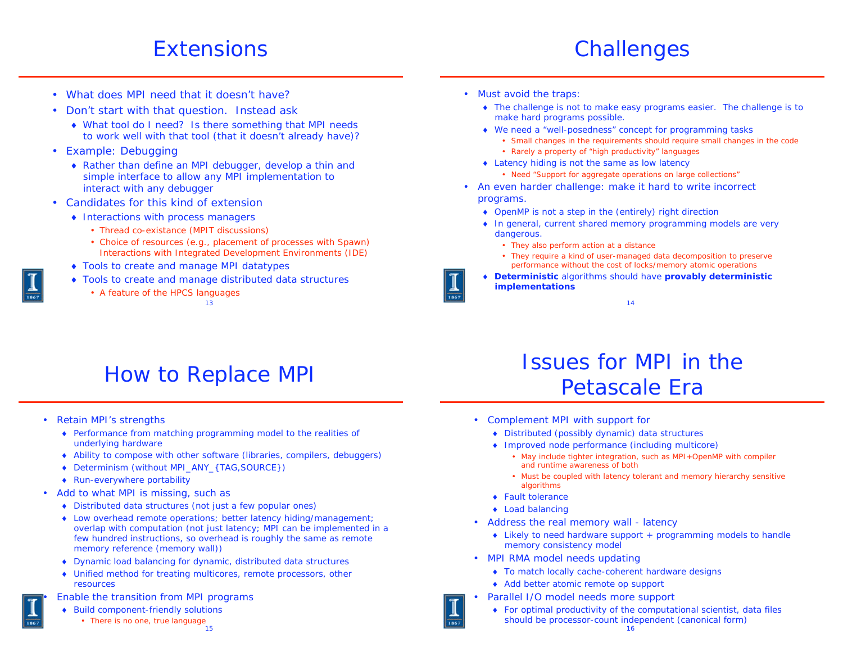#### **Extensions**

#### **Challenges**

- What does MPI need that it doesn't have?
- Don't start with that question. Instead ask
	- What tool do I need? Is there something that MPI needs to work well with that tool (that it doesn't already have)?
- Example: Debugging
	- Rather than define an MPI debugger, develop a thin and simple interface to allow any MPI implementation to interact with any debugger
- Candidates for this kind of extension
	- Interactions with process managers
		- Thread co-existance (MPIT discussions)
		- Choice of resources (e.g., placement of processes with Spawn) Interactions with Integrated Development Environments (IDE)
	- Tools to create and manage MPI datatypes
	- Tools to create and manage distributed data structures
		- A feature of the HPCS languages

13

- Must avoid the traps:
	- The challenge is not to make easy programs easier. The challenge is to make hard programs possible.
	- We need a "well-posedness" concept for programming tasks
		- Small changes in the requirements should require small changes in the code
		- Rarely a property of "high productivity" languages
	- ◆ Latency hiding is not the same as low latency
		- Need "Support for aggregate operations on large collections"
- An even harder challenge: make it hard to write incorrect programs.
	- OpenMP is not a step in the (entirely) right direction
	- ◆ In general, current shared memory programming models are very dangerous.
		- They also perform action at a distance
		- They require a kind of user-managed data decomposition to preserve performance without the cost of locks/memory atomic operations
	- **Deterministic** algorithms should have **provably deterministic implementations**

14

# How to Replace MPI

- Retain MPI's strengths
	- Performance from matching programming model to the realities of underlying hardware
	- Ability to compose with other software (libraries, compilers, debuggers)
	- Determinism (without MPI\_ANY\_{TAG,SOURCE})
	- Run-everywhere portability
- Add to what MPI is missing, such as
	- Distributed data structures (not just a few popular ones)
	- Low overhead remote operations; better latency hiding/management; overlap with computation (not just latency; MPI can be implemented in a few hundred instructions, so overhead is roughly the same as remote memory reference (memory wall))
	- Dynamic load balancing for dynamic, distributed data structures
	- Unified method for treating multicores, remote processors, other resources
	- Enable the transition from MPI programs
	- Build component-friendly solutions
		- 15 • There is no one, true language

## Issues for MPI in the Petascale Era

- Complement MPI with support for
	- Distributed (possibly dynamic) data structures
	- Improved node performance (including multicore)
		- May include tighter integration, such as MPI+OpenMP with compiler and runtime awareness of both
		- Must be coupled with latency tolerant and memory hierarchy sensitive algorithms
	- ◆ Fault tolerance
	- ◆ Load balancing
- • Address the real memory wall - latency
	- Likely to need hardware support + programming models to handle memory consistency model
- MPI RMA model needs updating
	- To match locally cache-coherent hardware designs
	- ◆ Add better atomic remote op support
- • Parallel I/O model needs more support
	- For optimal productivity of the computational scientist, data files should be processor-count independent (canonical form)

•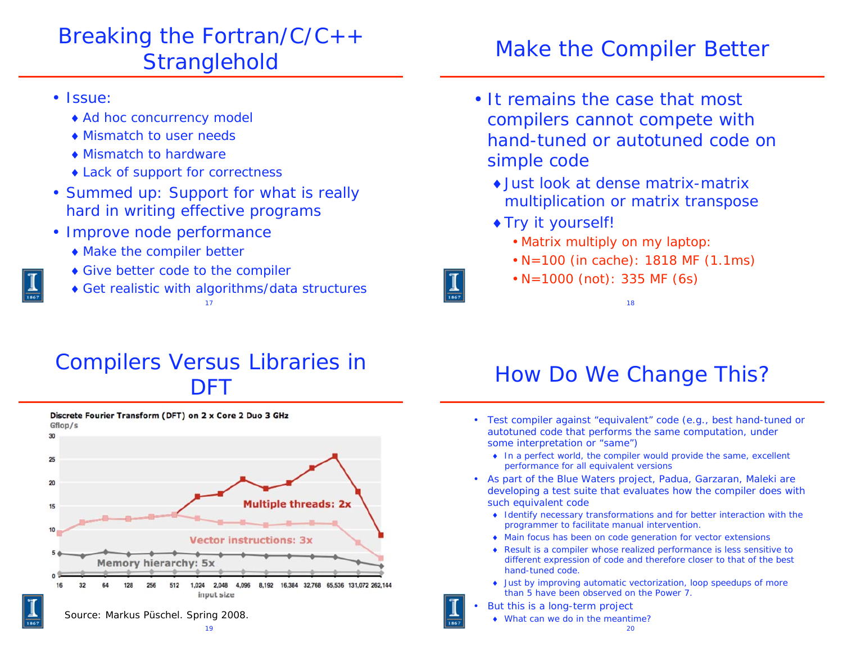# Breaking the Fortran/C/C++ **Stranglehold**

- Issue:
	- ◆ Ad hoc concurrency model
	- Mismatch to user needs
	- Mismatch to hardware
	- ◆ Lack of support for correctness
- Summed up: Support for what is really hard in writing effective programs
- Improve node performance
	- Make the compiler better
	- Give better code to the compiler
	- Get realistic with algorithms/data structures
		- 17

# Make the Compiler Better

- It remains the case that most compilers cannot compete with hand-tuned or autotuned code on simple code
	- Just look at dense matrix-matrix multiplication or matrix transpose
	- Try it yourself!
		- Matrix multiply on my laptop:
		- N=100 (in cache): 1818 MF (1.1ms)

18

• N=1000 (not): 335 MF (6s)

#### Compilers Versus Libraries in DFT



# How Do We Change This?

- Test compiler against "equivalent" code (e.g., best hand-tuned or autotuned code that performs the same computation, under some interpretation or "same")
	- ◆ In a perfect world, the compiler would provide the same, excellent performance for all equivalent versions
- As part of the Blue Waters project, Padua, Garzaran, Maleki are developing a test suite that evaluates how the compiler does with such equivalent code
	- Identify necessary transformations and for better interaction with the programmer to facilitate manual intervention.
	- Main focus has been on code generation for vector extensions
	- Result is a compiler whose realized performance is less sensitive to different expression of code and therefore closer to that of the best hand-tuned code.
	- Just by improving automatic vectorization, loop speedups of more than 5 have been observed on the Power 7.
- • But this is a long-term project
	- What can we do in the meantime?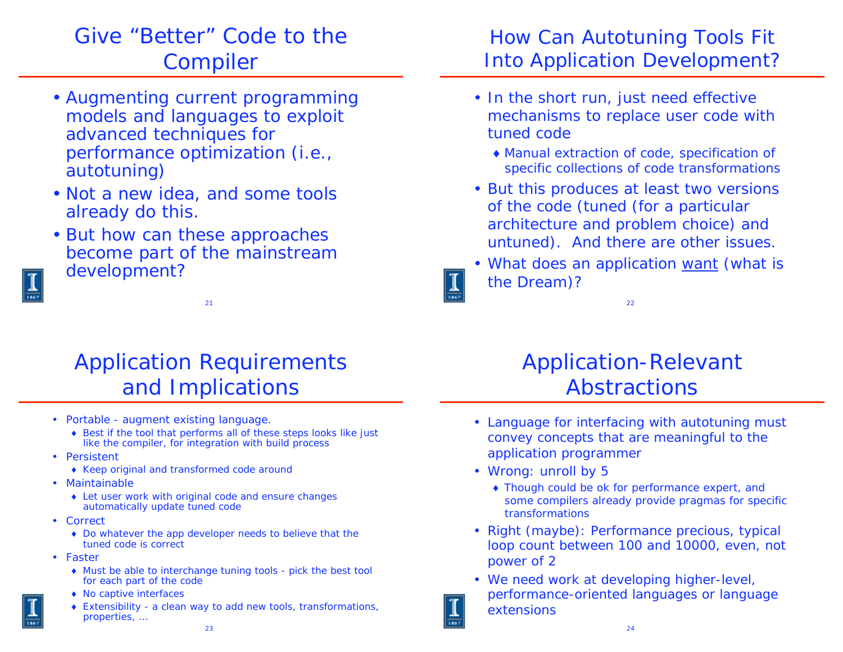# Give "Better" Code to the Compiler

- Augmenting current programming models and languages to exploit advanced techniques for performance optimization (i.e., *autotuning*)
- Not a new idea, and some tools already do this.
- But how can these approaches become part of the mainstream development?

#### Application Requirements and Implications

21

- Portable augment existing language.
	- ◆ Best if the tool that performs all of these steps looks like just like the compiler, for integration with build process
- Persistent
	- Keep original and transformed code around
- Maintainable
	- Let user work with original code *and* ensure changes automatically update tuned code
- Correct
	- Do whatever the app developer needs to believe that the tuned code is correct
- Faster
	- Must be able to interchange tuning tools pick the best tool for *each* part of the code
	- No captive interfaces
	- Extensibility a clean way to add new tools, transformations, properties, …

#### How Can Autotuning Tools Fit Into Application Development?

- In the short run, just need effective mechanisms to replace user code with tuned code
	- Manual extraction of code, specification of specific collections of code transformations
- But this produces at least two versions of the code (tuned (for a particular architecture and problem choice) and untuned). And there are other issues.
- What does an application *want* (what is the Dream)?

22

# Application-Relevant Abstractions

- Language for interfacing with autotuning must convey concepts that are meaningful to the application programmer
- Wrong: unroll by 5
	- Though could be ok for performance expert, and some compilers already provide pragmas for specific transformations
- Right (maybe): Performance precious, typical loop count between 100 and 10000, even, not power of 2
- We need work at developing higher-level, performance-oriented languages or language extensions